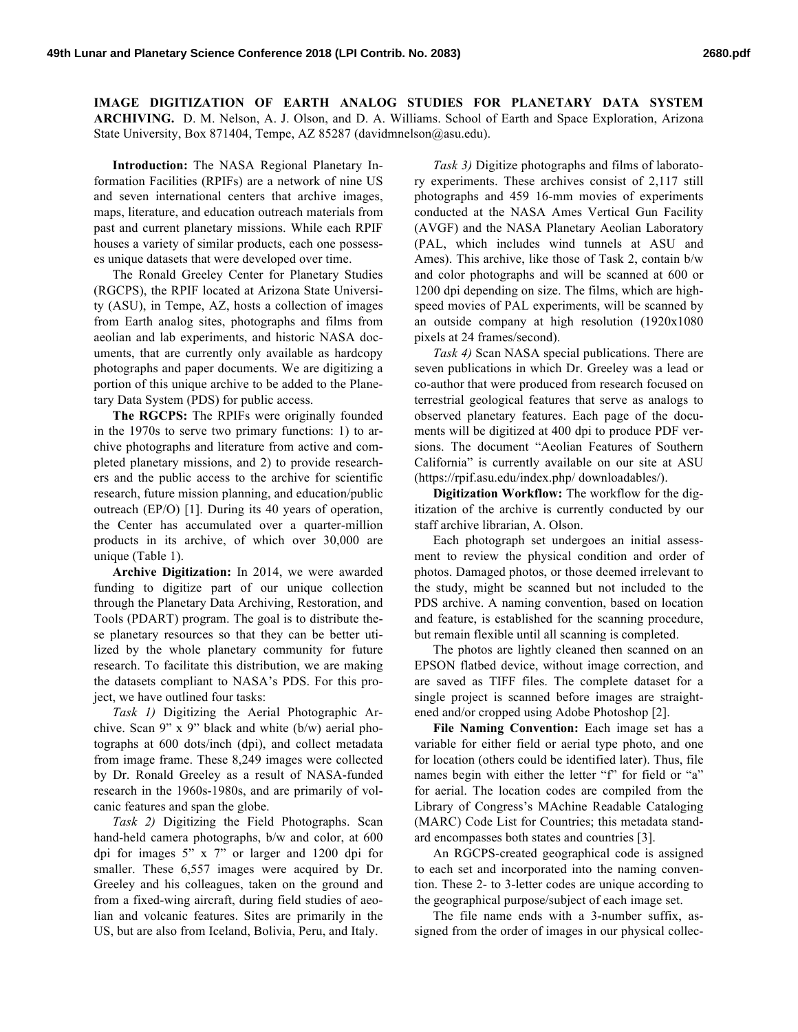**IMAGE DIGITIZATION OF EARTH ANALOG STUDIES FOR PLANETARY DATA SYSTEM ARCHIVING.** D. M. Nelson, A. J. Olson, and D. A. Williams. School of Earth and Space Exploration, Arizona State University, Box 871404, Tempe, AZ 85287 (davidmnelson@asu.edu).

**Introduction:** The NASA Regional Planetary Information Facilities (RPIFs) are a network of nine US and seven international centers that archive images, maps, literature, and education outreach materials from past and current planetary missions. While each RPIF houses a variety of similar products, each one possesses unique datasets that were developed over time.

The Ronald Greeley Center for Planetary Studies (RGCPS), the RPIF located at Arizona State University (ASU), in Tempe, AZ, hosts a collection of images from Earth analog sites, photographs and films from aeolian and lab experiments, and historic NASA documents, that are currently only available as hardcopy photographs and paper documents. We are digitizing a portion of this unique archive to be added to the Planetary Data System (PDS) for public access.

**The RGCPS:** The RPIFs were originally founded in the 1970s to serve two primary functions: 1) to archive photographs and literature from active and completed planetary missions, and 2) to provide researchers and the public access to the archive for scientific research, future mission planning, and education/public outreach (EP/O) [1]. During its 40 years of operation, the Center has accumulated over a quarter-million products in its archive, of which over 30,000 are unique (Table 1).

**Archive Digitization:** In 2014, we were awarded funding to digitize part of our unique collection through the Planetary Data Archiving, Restoration, and Tools (PDART) program. The goal is to distribute these planetary resources so that they can be better utilized by the whole planetary community for future research. To facilitate this distribution, we are making the datasets compliant to NASA's PDS. For this project, we have outlined four tasks:

*Task 1)* Digitizing the Aerial Photographic Archive. Scan 9" x 9" black and white (b/w) aerial photographs at 600 dots/inch (dpi), and collect metadata from image frame. These 8,249 images were collected by Dr. Ronald Greeley as a result of NASA-funded research in the 1960s-1980s, and are primarily of volcanic features and span the globe.

*Task 2)* Digitizing the Field Photographs. Scan hand-held camera photographs, b/w and color, at 600 dpi for images 5" x 7" or larger and 1200 dpi for smaller. These 6,557 images were acquired by Dr. Greeley and his colleagues, taken on the ground and from a fixed-wing aircraft, during field studies of aeolian and volcanic features. Sites are primarily in the US, but are also from Iceland, Bolivia, Peru, and Italy.

*Task 3)* Digitize photographs and films of laboratory experiments. These archives consist of 2,117 still photographs and 459 16-mm movies of experiments conducted at the NASA Ames Vertical Gun Facility (AVGF) and the NASA Planetary Aeolian Laboratory (PAL, which includes wind tunnels at ASU and Ames). This archive, like those of Task 2, contain b/w and color photographs and will be scanned at 600 or 1200 dpi depending on size. The films, which are highspeed movies of PAL experiments, will be scanned by an outside company at high resolution (1920x1080 pixels at 24 frames/second).

*Task 4)* Scan NASA special publications. There are seven publications in which Dr. Greeley was a lead or co-author that were produced from research focused on terrestrial geological features that serve as analogs to observed planetary features. Each page of the documents will be digitized at 400 dpi to produce PDF versions. The document "Aeolian Features of Southern California" is currently available on our site at ASU (https://rpif.asu.edu/index.php/ downloadables/).

**Digitization Workflow:** The workflow for the digitization of the archive is currently conducted by our staff archive librarian, A. Olson.

Each photograph set undergoes an initial assessment to review the physical condition and order of photos. Damaged photos, or those deemed irrelevant to the study, might be scanned but not included to the PDS archive. A naming convention, based on location and feature, is established for the scanning procedure, but remain flexible until all scanning is completed.

The photos are lightly cleaned then scanned on an EPSON flatbed device, without image correction, and are saved as TIFF files. The complete dataset for a single project is scanned before images are straightened and/or cropped using Adobe Photoshop [2].

**File Naming Convention:** Each image set has a variable for either field or aerial type photo, and one for location (others could be identified later). Thus, file names begin with either the letter "f" for field or "a" for aerial. The location codes are compiled from the Library of Congress's MAchine Readable Cataloging (MARC) Code List for Countries; this metadata standard encompasses both states and countries [3].

An RGCPS-created geographical code is assigned to each set and incorporated into the naming convention. These 2- to 3-letter codes are unique according to the geographical purpose/subject of each image set.

The file name ends with a 3-number suffix, assigned from the order of images in our physical collec